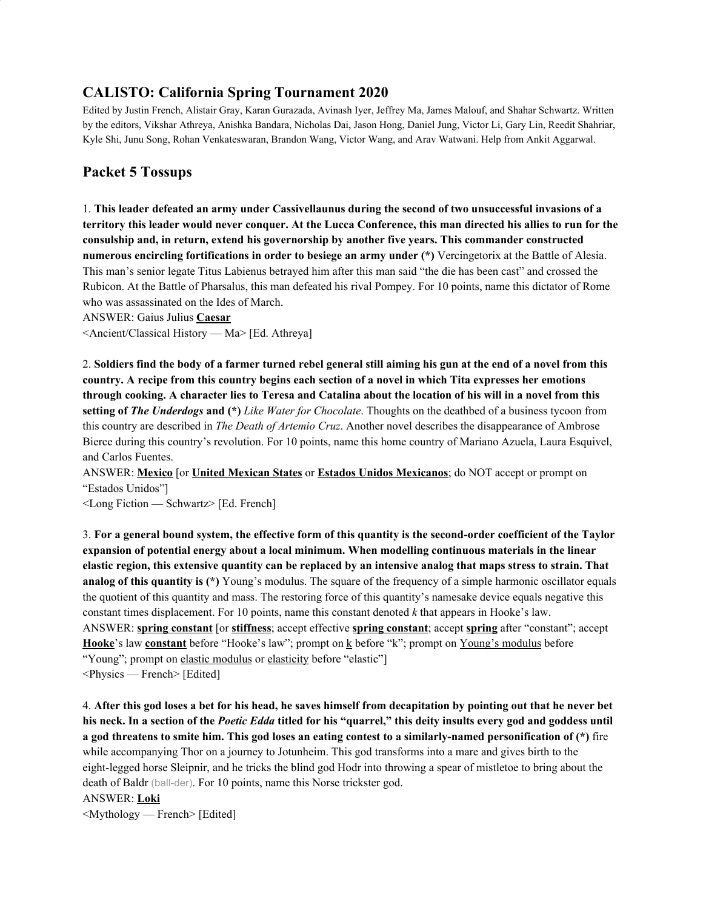# **CALISTO: California Spring Tournament 2020**

Edited by Justin French, Alistair Gray, Karan Gurazada, Avinash Iyer, Jeffrey Ma, James Malouf, and Shahar Schwartz. Written by the editors, Vikshar Athreya, Anishka Bandara, Nicholas Dai, Jason Hong, Daniel Jung, Victor Li, Gary Lin, Reedit Shahriar, Kyle Shi, Junu Song, Rohan Venkateswaran, Brandon Wang, Victor Wang, and Arav Watwani. Help from Ankit Aggarwal.

# **Packet 5 Tossups**

1. **This leader defeated an army under Cassivellaunus during the second of two unsuccessful invasions of a** territory this leader would never conquer. At the Lucca Conference, this man directed his allies to run for the **consulship and, in return, extend his governorship by another five years. This commander constructed numerous encircling fortifications in order to besiege an army under (\*)** Vercingetorix at the Battle of Alesia. This man's senior legate Titus Labienus betrayed him after this man said "the die has been cast" and crossed the Rubicon. At the Battle of Pharsalus, this man defeated his rival Pompey. For 10 points, name this dictator of Rome who was assassinated on the Ides of March.

ANSWER: Gaius Julius **Caesar**

<Ancient/Classical History — Ma> [Ed. Athreya]

2. Soldiers find the body of a farmer turned rebel general still aiming his gun at the end of a novel from this country. A recipe from this country begins each section of a novel in which Tita expresses her emotions through cooking. A character lies to Teresa and Catalina about the location of his will in a novel from this **setting of** *The Underdogs* **and (\*)** *Like Water for Chocolate*. Thoughts on the deathbed of a business tycoon from this country are described in *The Death of Artemio Cruz*. Another novel describes the disappearance of Ambrose Bierce during this country's revolution. For 10 points, name this home country of Mariano Azuela, Laura Esquivel, and Carlos Fuentes.

ANSWER: **Mexico** [or **United Mexican States** or **Estados Unidos Mexicanos**; do NOT accept or prompt on "Estados Unidos"]

<Long Fiction — Schwartz> [Ed. French]

3. For a general bound system, the effective form of this quantity is the second-order coefficient of the Taylor **expansion of potential energy about a local minimum. When modelling continuous materials in the linear** elastic region, this extensive quantity can be replaced by an intensive analog that maps stress to strain. That **analog of this quantity is (\*)** Young's modulus. The square of the frequency of a simple harmonic oscillator equals the quotient of this quantity and mass. The restoring force of this quantity's namesake device equals negative this constant times displacement. For 10 points, name this constant denoted *k* that appears in Hooke's law. ANSWER: **spring constant** [or **stiffness**; accept effective **spring constant**; accept **spring** after "constant"; accept Hooke's law **constant** before "Hooke's law"; prompt on k before "k"; prompt on <u>Young's modulus</u> before "Young"; prompt on elastic modulus or elasticity before "elastic"] <Physics — French> [Edited]

4. After this god loses a bet for his head, he saves himself from decapitation by pointing out that he never bet his neck. In a section of the Poetic Edda titled for his "quarrel," this deity insults every god and goddess until a god threatens to smite him. This god loses an eating contest to a similarly-named personification of  $(*)$  fire while accompanying Thor on a journey to Jotunheim. This god transforms into a mare and gives birth to the eight-legged horse Sleipnir, and he tricks the blind god Hodr into throwing a spear of mistletoe to bring about the death of Baldr (ball-der). For 10 points, name this Norse trickster god.

```
ANSWER: Loki
```
<Mythology — French> [Edited]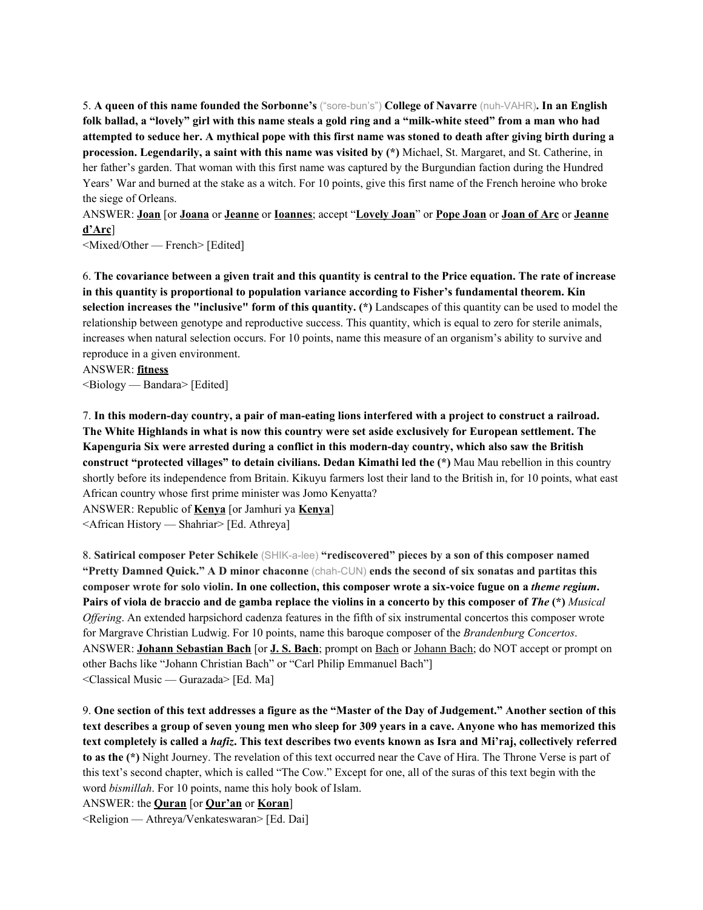5. **A queen of this name founded the Sorbonne's** ("sore-bun's") **College of Navarre** (nuh-VAHR)**. In an English** folk ballad, a "lovely" girl with this name steals a gold ring and a "milk-white steed" from a man who had attempted to seduce her. A mythical pope with this first name was stoned to death after giving birth during a **procession. Legendarily, a saint with this name was visited by (\*)** Michael, St. Margaret, and St. Catherine, in her father's garden. That woman with this first name was captured by the Burgundian faction during the Hundred Years' War and burned at the stake as a witch. For 10 points, give this first name of the French heroine who broke the siege of Orleans.

ANSWER: **Joan** [or **Joana** or **Jeanne** or **Ioannes**; accept "**Lovely Joan**" or **Pope Joan** or **Joan of Arc** or **Jeanne d'Arc**]

<Mixed/Other — French> [Edited]

6. The covariance between a given trait and this quantity is central to the Price equation. The rate of increase **in this quantity is proportional to population variance according to Fisher's fundamental theorem. Kin selection increases the "inclusive" form of this quantity. (\*)** Landscapes of this quantity can be used to model the relationship between genotype and reproductive success. This quantity, which is equal to zero for sterile animals, increases when natural selection occurs. For 10 points, name this measure of an organism's ability to survive and reproduce in a given environment.

ANSWER: **fitness**  $\leq$ Biology — Bandara $\geq$  [Edited]

7. In this modern-day country, a pair of man-eating lions interfered with a project to construct a railroad. **The White Highlands in what is now this country were set aside exclusively for European settlement. The Kapenguria Six were arrested during a conflict in this modern-day country, which also saw the British construct "protected villages" to detain civilians. Dedan Kimathi led the (\*)** Mau Mau rebellion in this country shortly before its independence from Britain. Kikuyu farmers lost their land to the British in, for 10 points, what east African country whose first prime minister was Jomo Kenyatta?

ANSWER: Republic of **Kenya** [or Jamhuri ya **Kenya**]

<African History — Shahriar> [Ed. Athreya]

8. **Satirical composer Peter Schikele** (SHIK-a-lee) **"rediscovered" pieces by a son of this composer named "Pretty Damned Quick." A D minor chaconne** (chah-CUN) **ends the second of six sonatas and partitas this** composer wrote for solo violin. In one collection, this composer wrote a six-voice fugue on a *theme regium*. Pairs of viola de braccio and de gamba replace the violins in a concerto by this composer of The (\*) Musical *Offering*. An extended harpsichord cadenza features in the fifth of six instrumental concertos this composer wrote for Margrave Christian Ludwig. For 10 points, name this baroque composer of the *Brandenburg Concertos*. ANSWER: **Johann Sebastian Bach** [or **J. S. Bach**; prompt on Bach or Johann Bach; do NOT accept or prompt on other Bachs like "Johann Christian Bach" or "Carl Philip Emmanuel Bach"] <Classical Music — Gurazada> [Ed. Ma]

9. One section of this text addresses a figure as the "Master of the Day of Judgement." Another section of this text describes a group of seven young men who sleep for 309 years in a cave. Anyone who has memorized this text completely is called a *hafiz*. This text describes two events known as Isra and Mi'raj, collectively referred **to as the (\*)** Night Journey. The revelation of this text occurred near the Cave of Hira. The Throne Verse is part of this text's second chapter, which is called "The Cow." Except for one, all of the suras of this text begin with the word *bismillah*. For 10 points, name this holy book of Islam.

ANSWER: the **Quran** [or **Qur'an** or **Koran**]

<Religion — Athreya/Venkateswaran> [Ed. Dai]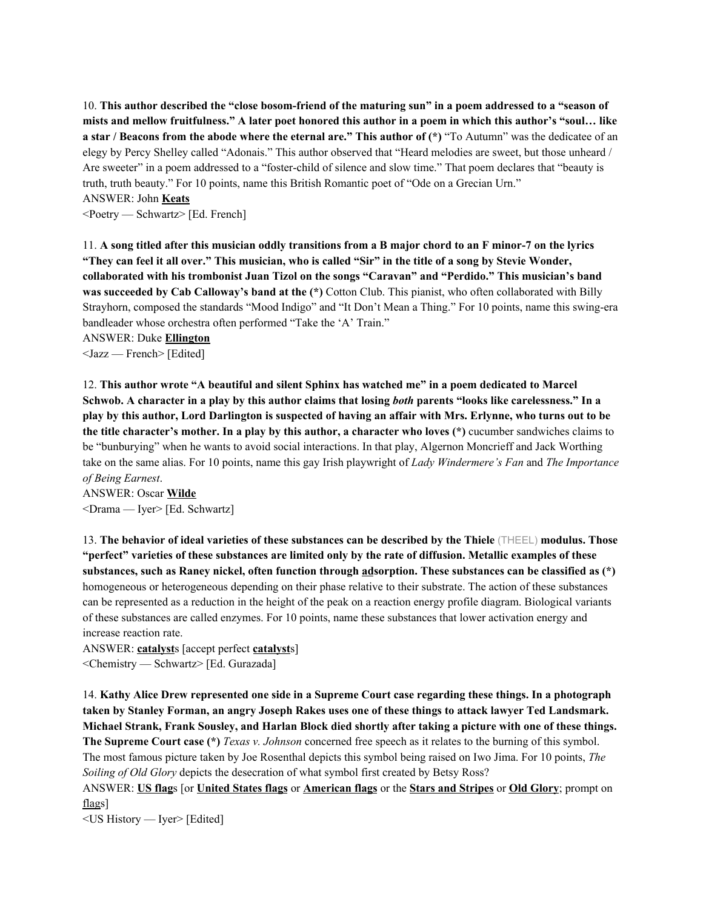10. This author described the "close bosom-friend of the maturing sun" in a poem addressed to a "season of mists and mellow fruitfulness." A later poet honored this author in a poem in which this author's "soul... like **a star / Beacons from the abode where the eternal are." This author of (\*)** "To Autumn" was the dedicatee of an elegy by Percy Shelley called "Adonais." This author observed that "Heard melodies are sweet, but those unheard / Are sweeter" in a poem addressed to a "foster-child of silence and slow time." That poem declares that "beauty is truth, truth beauty." For 10 points, name this British Romantic poet of "Ode on a Grecian Urn." ANSWER: John **Keats**

<Poetry — Schwartz> [Ed. French]

11. A song titled after this musician oddly transitions from a B major chord to an F minor-7 on the lyrics "They can feel it all over." This musician, who is called "Sir" in the title of a song by Stevie Wonder, **collaborated with his trombonist Juan Tizol on the songs "Caravan" and "Perdido." This musician's band was succeeded by Cab Calloway's band at the (\*)** Cotton Club. This pianist, who often collaborated with Billy Strayhorn, composed the standards "Mood Indigo" and "It Don't Mean a Thing." For 10 points, name this swing-era bandleader whose orchestra often performed "Take the 'A' Train."

ANSWER: Duke **Ellington** <Jazz — French> [Edited]

12. **This author wrote "A beautiful and silent Sphinx has watched me" in a poem dedicated to Marcel** Schwob. A character in a play by this author claims that losing *both* parents "looks like carelessness." In a play by this author, Lord Darlington is suspected of having an affair with Mrs. Erlynne, who turns out to be **the title character's mother. In a play by this author, a character who loves (\*)** cucumber sandwiches claims to be "bunburying" when he wants to avoid social interactions. In that play, Algernon Moncrieff and Jack Worthing take on the same alias. For 10 points, name this gay Irish playwright of *Lady Windermere's Fan* and *The Importance of Being Earnest*.

ANSWER: Oscar **Wilde** <Drama — Iyer> [Ed. Schwartz]

13. **The behavior of ideal varieties of these substances can be described by the Thiele** (THEEL) **modulus. Those** "perfect" varieties of these substances are limited only by the rate of diffusion. Metallic examples of these **substances, such as Raney nickel, often function through adsorption. These substances can be classified as (\*)** homogeneous or heterogeneous depending on their phase relative to their substrate. The action of these substances can be represented as a reduction in the height of the peak on a reaction energy profile diagram. Biological variants of these substances are called enzymes. For 10 points, name these substances that lower activation energy and increase reaction rate.

ANSWER: **catalyst**s [accept perfect **catalyst**s] <Chemistry — Schwartz> [Ed. Gurazada]

14. **Kathy Alice Drew represented one side in a Supreme Court case regarding these things. In a photograph** taken by Stanley Forman, an angry Joseph Rakes uses one of these things to attack lawyer Ted Landsmark. Michael Strank, Frank Sousley, and Harlan Block died shortly after taking a picture with one of these things. **The Supreme Court case (\*)** *Texas v. Johnson* concerned free speech as it relates to the burning of this symbol. The most famous picture taken by Joe Rosenthal depicts this symbol being raised on Iwo Jima. For 10 points, *The Soiling of Old Glory* depicts the desecration of what symbol first created by Betsy Ross?

ANSWER: **US flag**s [or **United States flags** or **American flags** or the **Stars and Stripes** or **Old Glory**; prompt on flags]

<US History — Iyer> [Edited]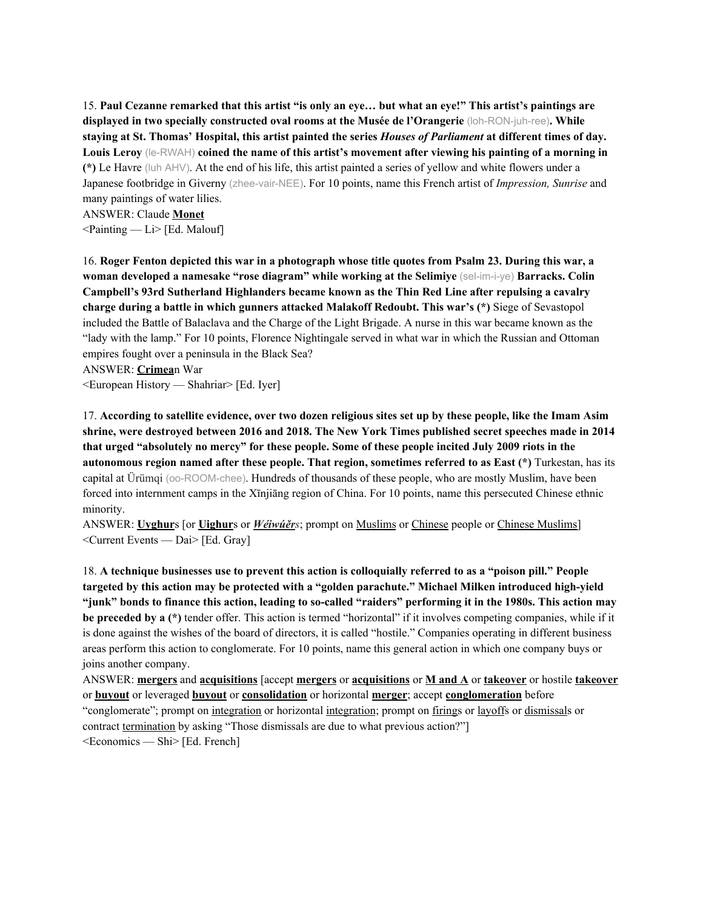15. Paul Cezanne remarked that this artist "is only an eye... but what an eye!" This artist's paintings are **displayed in two specially constructed oval rooms at the Musée de l'Orangerie** (loh-RON-juh-ree)**. While** staying at St. Thomas' Hospital, this artist painted the series *Houses of Parliament* at different times of day. Louis Leroy (Ie-RWAH) coined the name of this artist's movement after viewing his painting of a morning in **(\*)** Le Havre (luh AHV). At the end of his life, this artist painted a series of yellow and white flowers under a Japanese footbridge in Giverny (zhee-vair-NEE). For 10 points, name this French artist of *Impression, Sunrise* and many paintings of water lilies.

ANSWER: Claude **Monet**  $\leq$ Painting — Li $\geq$  [Ed. Malouf]

16. Roger Fenton depicted this war in a photograph whose title quotes from Psalm 23. During this war, a **woman developed a namesake "rose diagram" while working at the Selimiye** (sel-im-i-ye) **Barracks. Colin Campbell's 93rd Sutherland Highlanders became known as the Thin Red Line after repulsing a cavalry charge during a battle in which gunners attacked Malakoff Redoubt. This war's (\*)** Siege of Sevastopol included the Battle of Balaclava and the Charge of the Light Brigade. A nurse in this war became known as the "lady with the lamp." For 10 points, Florence Nightingale served in what war in which the Russian and Ottoman empires fought over a peninsula in the Black Sea?

ANSWER: **Crimea**n War <European History — Shahriar> [Ed. Iyer]

17. According to satellite evidence, over two dozen religious sites set up by these people, like the Imam Asim **shrine, were destroyed between 2016 and 2018. The New York Times published secret speeches made in 2014** that urged "absolutely no mercy" for these people. Some of these people incited July 2009 riots in the **autonomous region named after these people. That region, sometimes referred to as East (\*)** Turkestan, has its capital at Ürümqi (oo-ROOM-chee). Hundreds of thousands of these people, who are mostly Muslim, have been forced into internment camps in the Xīnjiāng region of China. For 10 points, name this persecuted Chinese ethnic minority.

ANSWER: **Uyghur**s [or **Uighur**s or *Wéiwúěrs*; prompt on Muslims or Chinese people or Chinese Muslims] <Current Events — Dai> [Ed. Gray]

18. A technique businesses use to prevent this action is colloquially referred to as a "poison pill." People **targeted by this action may be protected with a "golden parachute." Michael Milken introduced high-yield** "junk" bonds to finance this action, leading to so-called "raiders" performing it in the 1980s. This action may **be preceded by a (\*)** tender offer. This action is termed "horizontal" if it involves competing companies, while if it is done against the wishes of the board of directors, it is called "hostile." Companies operating in different business areas perform this action to conglomerate. For 10 points, name this general action in which one company buys or joins another company.

ANSWER: **mergers** and **acquisitions** [accept **mergers** or **acquisitions** or **M and A** or **takeover** or hostile **takeover** or **buyout** or leveraged **buyout** or **consolidation** or horizontal **merger**; accept **conglomeration** before "conglomerate"; prompt on integration or horizontal integration; prompt on firings or layoffs or dismissals or contract termination by asking "Those dismissals are due to what previous action?"] <Economics — Shi> [Ed. French]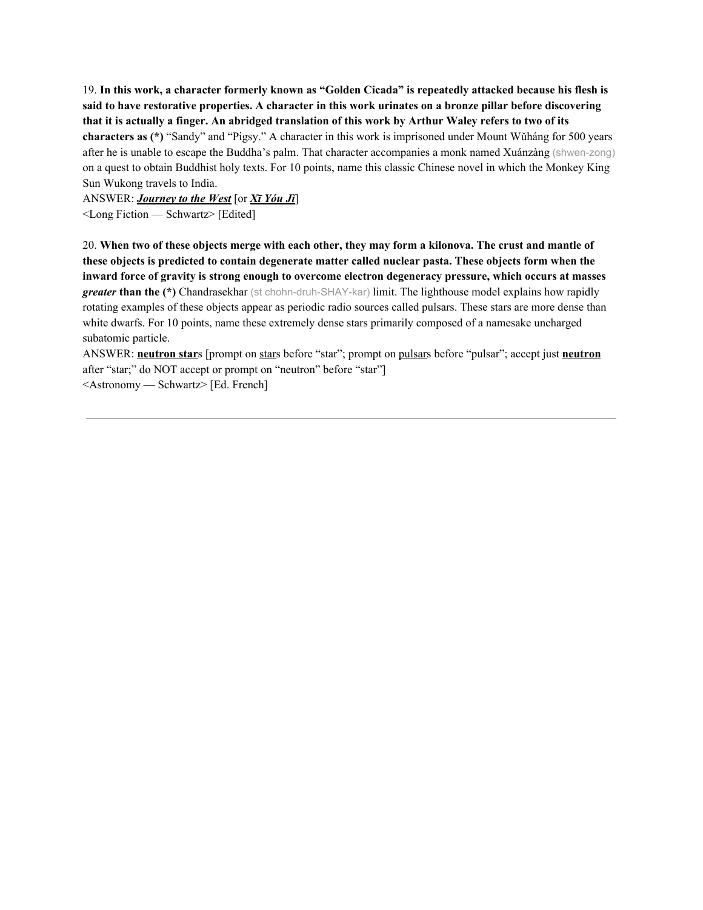19. In this work, a character formerly known as "Golden Cicada" is repeatedly attacked because his flesh is said to have restorative properties. A character in this work urinates on a bronze pillar before discovering that it is actually a finger. An abridged translation of this work by Arthur Waley refers to two of its **characters as (\*)** "Sandy" and "Pigsy." A character in this work is imprisoned under Mount Wǔháng for 500 years after he is unable to escape the Buddha's palm. That character accompanies a monk named Xuánzàng (shwen-zong) on a quest to obtain Buddhist holy texts. For 10 points, name this classic Chinese novel in which the Monkey King Sun Wukong travels to India.

ANSWER: *Journey to the West* [or *Xī Yóu Jì*] <Long Fiction — Schwartz> [Edited]

20. When two of these objects merge with each other, they may form a kilonova. The crust and mantle of **these objects is predicted to contain degenerate matter called nuclear pasta. These objects form when the inward force of gravity is strong enough to overcome electron degeneracy pressure, which occurs at masses** *greater* **than the (\*)** Chandrasekhar (st chohn-druh-SHAY-kar) limit. The lighthouse model explains how rapidly rotating examples of these objects appear as periodic radio sources called pulsars. These stars are more dense than white dwarfs. For 10 points, name these extremely dense stars primarily composed of a namesake uncharged subatomic particle.

ANSWER: **neutron star**s [prompt on stars before "star"; prompt on pulsars before "pulsar"; accept just **neutron** after "star;" do NOT accept or prompt on "neutron" before "star"]

<Astronomy — Schwartz> [Ed. French]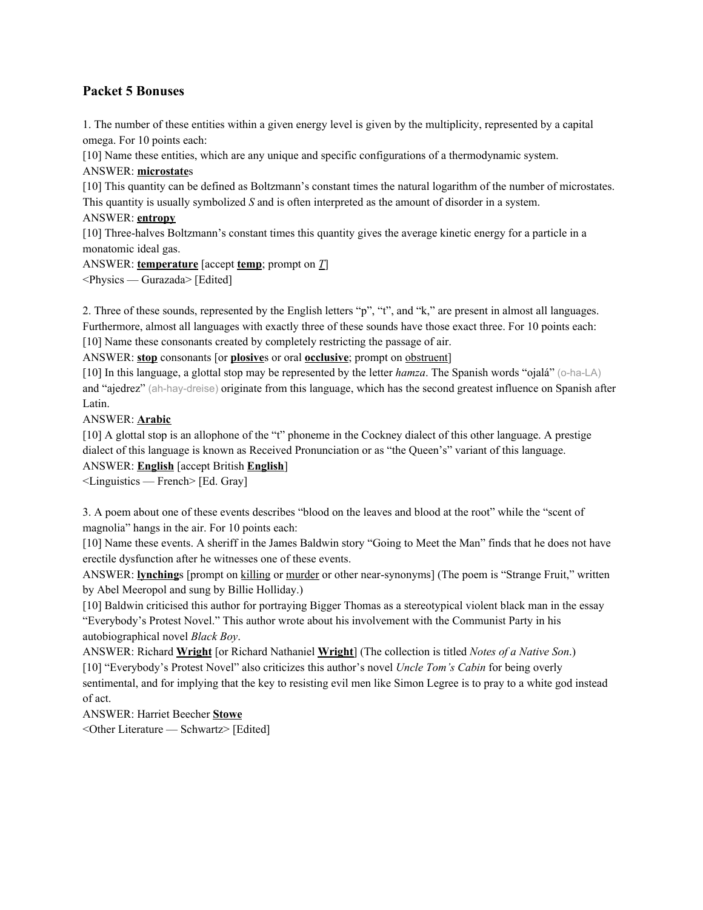# **Packet 5 Bonuses**

1. The number of these entities within a given energy level is given by the multiplicity, represented by a capital omega. For 10 points each:

[10] Name these entities, which are any unique and specific configurations of a thermodynamic system.

### ANSWER: **microstate**s

[10] This quantity can be defined as Boltzmann's constant times the natural logarithm of the number of microstates. This quantity is usually symbolized *S* and is often interpreted as the amount of disorder in a system.

### ANSWER: **entropy**

[10] Three-halves Boltzmann's constant times this quantity gives the average kinetic energy for a particle in a monatomic ideal gas.

ANSWER: **temperature** [accept **temp**; prompt on *T*] <Physics — Gurazada> [Edited]

2. Three of these sounds, represented by the English letters "p", "t", and "k," are present in almost all languages. Furthermore, almost all languages with exactly three of these sounds have those exact three. For 10 points each: [10] Name these consonants created by completely restricting the passage of air.

ANSWER: **stop** consonants [or **plosive**s or oral **occlusive**; prompt on obstruent]

[10] In this language, a glottal stop may be represented by the letter *hamza*. The Spanish words "ojalá" (o-ha-LA) and "ajedrez" (ah-hay-dreise) originate from this language, which has the second greatest influence on Spanish after Latin.

#### ANSWER: **Arabic**

[10] A glottal stop is an allophone of the "t" phoneme in the Cockney dialect of this other language. A prestige dialect of this language is known as Received Pronunciation or as "the Queen's" variant of this language. ANSWER: **English** [accept British **English**]

<Linguistics — French> [Ed. Gray]

3. A poem about one of these events describes "blood on the leaves and blood at the root" while the "scent of magnolia" hangs in the air. For 10 points each:

[10] Name these events. A sheriff in the James Baldwin story "Going to Meet the Man" finds that he does not have erectile dysfunction after he witnesses one of these events.

ANSWER: **lynching**s [prompt on killing or murder or other near-synonyms] (The poem is "Strange Fruit," written by Abel Meeropol and sung by Billie Holliday.)

[10] Baldwin criticised this author for portraying Bigger Thomas as a stereotypical violent black man in the essay "Everybody's Protest Novel." This author wrote about his involvement with the Communist Party in his autobiographical novel *Black Boy*.

ANSWER: Richard **Wright** [or Richard Nathaniel **Wright**] (The collection is titled *Notes of a Native Son*.)

[10] "Everybody's Protest Novel" also criticizes this author's novel *Uncle Tom's Cabin* for being overly sentimental, and for implying that the key to resisting evil men like Simon Legree is to pray to a white god instead

of act.

ANSWER: Harriet Beecher **Stowe**

<Other Literature — Schwartz> [Edited]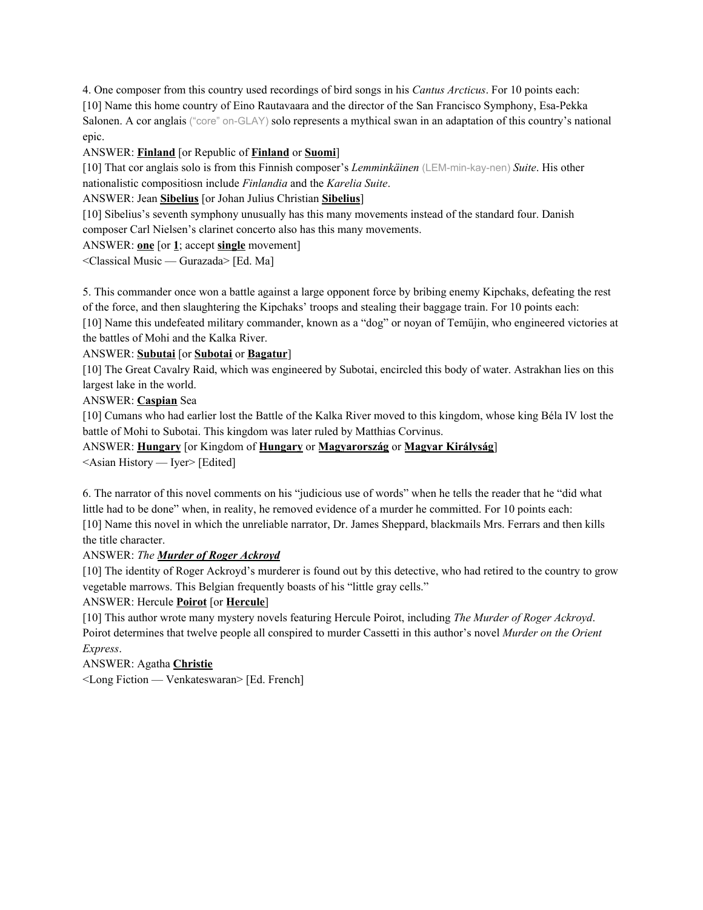4. One composer from this country used recordings of bird songs in his *Cantus Arcticus*. For 10 points each: [10] Name this home country of Eino Rautavaara and the director of the San Francisco Symphony, Esa-Pekka Salonen. A cor anglais ("core" on-GLAY) solo represents a mythical swan in an adaptation of this country's national epic.

#### ANSWER: **Finland** [or Republic of **Finland** or **Suomi**]

[10] That cor anglais solo is from this Finnish composer's *Lemminkäinen* (LEM-min-kay-nen) *Suite*. His other nationalistic compositiosn include *Finlandia* and the *Karelia Suite*.

ANSWER: Jean **Sibelius** [or Johan Julius Christian **Sibelius**]

[10] Sibelius's seventh symphony unusually has this many movements instead of the standard four. Danish composer Carl Nielsen's clarinet concerto also has this many movements.

ANSWER: **one** [or **1**; accept **single** movement]

<Classical Music — Gurazada> [Ed. Ma]

5. This commander once won a battle against a large opponent force by bribing enemy Kipchaks, defeating the rest of the force, and then slaughtering the Kipchaks' troops and stealing their baggage train. For 10 points each:

[10] Name this undefeated military commander, known as a "dog" or noyan of Temüjin, who engineered victories at the battles of Mohi and the Kalka River.

ANSWER: **Subutai** [or **Subotai** or **Bagatur**]

[10] The Great Cavalry Raid, which was engineered by Subotai, encircled this body of water. Astrakhan lies on this largest lake in the world.

ANSWER: **Caspian** Sea

[10] Cumans who had earlier lost the Battle of the Kalka River moved to this kingdom, whose king Béla IV lost the battle of Mohi to Subotai. This kingdom was later ruled by Matthias Corvinus.

ANSWER: **Hungary** [or Kingdom of **Hungary** or **Magyarország** or **Magyar Királyság**]

<Asian History — Iyer> [Edited]

6. The narrator of this novel comments on his "judicious use of words" when he tells the reader that he "did what little had to be done" when, in reality, he removed evidence of a murder he committed. For 10 points each: [10] Name this novel in which the unreliable narrator, Dr. James Sheppard, blackmails Mrs. Ferrars and then kills the title character.

## ANSWER: *The Murder of Roger Ackroyd*

[10] The identity of Roger Ackroyd's murderer is found out by this detective, who had retired to the country to grow vegetable marrows. This Belgian frequently boasts of his "little gray cells."

## ANSWER: Hercule **Poirot** [or **Hercule**]

[10] This author wrote many mystery novels featuring Hercule Poirot, including *The Murder of Roger Ackroyd*. Poirot determines that twelve people all conspired to murder Cassetti in this author's novel *Murder on the Orient Express*.

ANSWER: Agatha **Christie**

<Long Fiction — Venkateswaran> [Ed. French]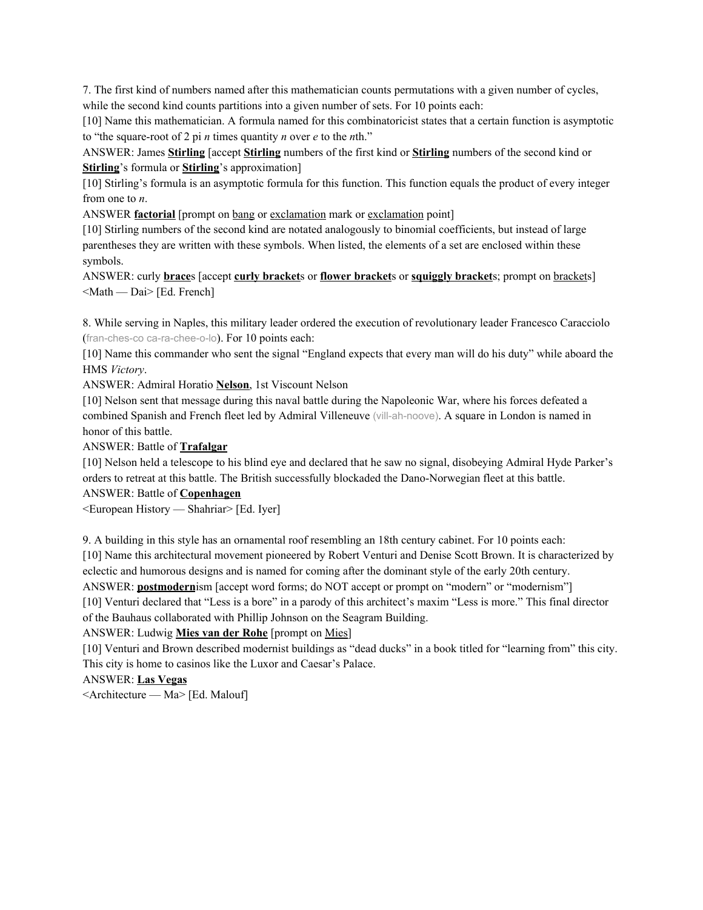7. The first kind of numbers named after this mathematician counts permutations with a given number of cycles, while the second kind counts partitions into a given number of sets. For 10 points each:

[10] Name this mathematician. A formula named for this combinatoricist states that a certain function is asymptotic to "the square-root of 2 pi *n* times quantity *n* over *e* to the *n*th."

ANSWER: James **Stirling** [accept **Stirling** numbers of the first kind or **Stirling** numbers of the second kind or **Stirling**'s formula or **Stirling**'s approximation]

[10] Stirling's formula is an asymptotic formula for this function. This function equals the product of every integer from one to *n*.

ANSWER **factorial** [prompt on bang or exclamation mark or exclamation point]

[10] Stirling numbers of the second kind are notated analogously to binomial coefficients, but instead of large parentheses they are written with these symbols. When listed, the elements of a set are enclosed within these symbols.

ANSWER: curly **brace**s [accept **curly bracket**s or **flower bracket**s or **squiggly bracket**s; prompt on brackets]  $\leq$ Math — Dai $>$  [Ed. French]

8. While serving in Naples, this military leader ordered the execution of revolutionary leader Francesco Caracciolo (fran-ches-co ca-ra-chee-o-lo). For 10 points each:

[10] Name this commander who sent the signal "England expects that every man will do his duty" while aboard the HMS *Victory*.

ANSWER: Admiral Horatio **Nelson**, 1st Viscount Nelson

[10] Nelson sent that message during this naval battle during the Napoleonic War, where his forces defeated a combined Spanish and French fleet led by Admiral Villeneuve (vill-ah-noove). A square in London is named in honor of this battle.

ANSWER: Battle of **Trafalgar**

[10] Nelson held a telescope to his blind eye and declared that he saw no signal, disobeying Admiral Hyde Parker's orders to retreat at this battle. The British successfully blockaded the Dano-Norwegian fleet at this battle.

ANSWER: Battle of **Copenhagen**

<European History — Shahriar> [Ed. Iyer]

9. A building in this style has an ornamental roof resembling an 18th century cabinet. For 10 points each:

[10] Name this architectural movement pioneered by Robert Venturi and Denise Scott Brown. It is characterized by eclectic and humorous designs and is named for coming after the dominant style of the early 20th century.

ANSWER: **postmodern**ism [accept word forms; do NOT accept or prompt on "modern" or "modernism"] [10] Venturi declared that "Less is a bore" in a parody of this architect's maxim "Less is more." This final director of the Bauhaus collaborated with Phillip Johnson on the Seagram Building.

## ANSWER: Ludwig **Mies van der Rohe** [prompt on Mies]

[10] Venturi and Brown described modernist buildings as "dead ducks" in a book titled for "learning from" this city. This city is home to casinos like the Luxor and Caesar's Palace.

ANSWER: **Las Vegas**

<Architecture — Ma> [Ed. Malouf]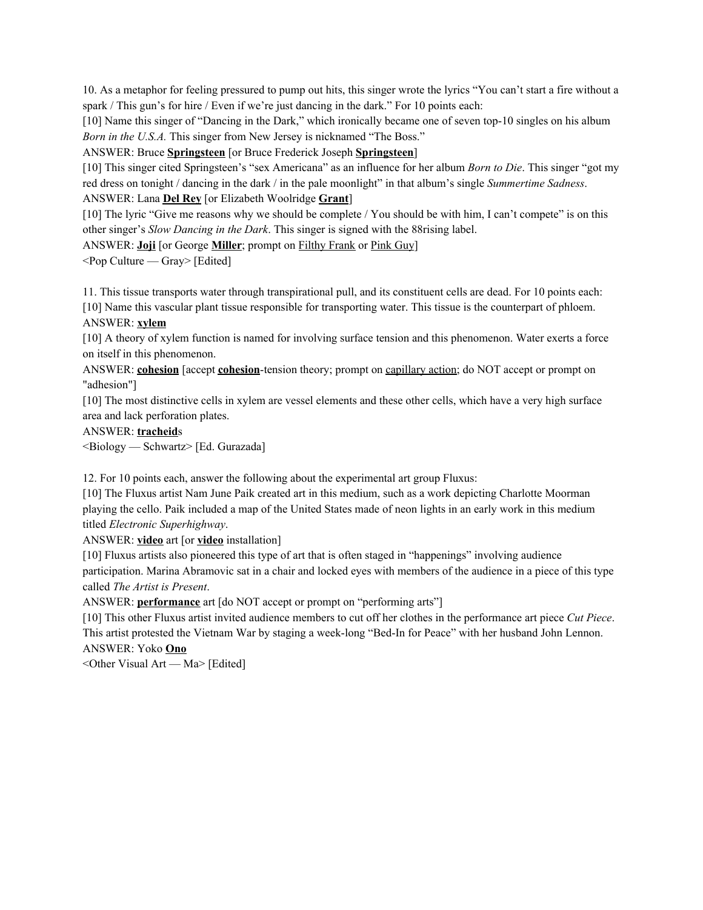10. As a metaphor for feeling pressured to pump out hits, this singer wrote the lyrics "You can't start a fire without a spark / This gun's for hire / Even if we're just dancing in the dark." For 10 points each:

[10] Name this singer of "Dancing in the Dark," which ironically became one of seven top-10 singles on his album *Born in the U.S.A.* This singer from New Jersey is nicknamed "The Boss."

ANSWER: Bruce **Springsteen** [or Bruce Frederick Joseph **Springsteen**]

[10] This singer cited Springsteen's "sex Americana" as an influence for her album *Born to Die*. This singer "got my red dress on tonight / dancing in the dark / in the pale moonlight" in that album's single *Summertime Sadness*.

#### ANSWER: Lana **Del Rey** [or Elizabeth Woolridge **Grant**]

[10] The lyric "Give me reasons why we should be complete / You should be with him, I can't compete" is on this other singer's *Slow Dancing in the Dark*. This singer is signed with the 88rising label.

ANSWER: **Joji** [or George **Miller**; prompt on Filthy Frank or Pink Guy]

 $\leq$  Pop Culture — Gray> [Edited]

11. This tissue transports water through transpirational pull, and its constituent cells are dead. For 10 points each:

[10] Name this vascular plant tissue responsible for transporting water. This tissue is the counterpart of phloem. ANSWER: **xylem**

[10] A theory of xylem function is named for involving surface tension and this phenomenon. Water exerts a force on itself in this phenomenon.

ANSWER: **cohesion** [accept **cohesion**-tension theory; prompt on capillary action; do NOT accept or prompt on "adhesion"]

[10] The most distinctive cells in xylem are vessel elements and these other cells, which have a very high surface area and lack perforation plates.

#### ANSWER: **tracheid**s

<Biology — Schwartz> [Ed. Gurazada]

12. For 10 points each, answer the following about the experimental art group Fluxus:

[10] The Fluxus artist Nam June Paik created art in this medium, such as a work depicting Charlotte Moorman playing the cello. Paik included a map of the United States made of neon lights in an early work in this medium titled *Electronic Superhighway*.

ANSWER: **video** art [or **video** installation]

[10] Fluxus artists also pioneered this type of art that is often staged in "happenings" involving audience participation. Marina Abramovic sat in a chair and locked eyes with members of the audience in a piece of this type called *The Artist is Present*.

ANSWER: **performance** art [do NOT accept or prompt on "performing arts"]

[10] This other Fluxus artist invited audience members to cut off her clothes in the performance art piece *Cut Piece*. This artist protested the Vietnam War by staging a week-long "Bed-In for Peace" with her husband John Lennon. ANSWER: Yoko **Ono**

<Other Visual Art — Ma> [Edited]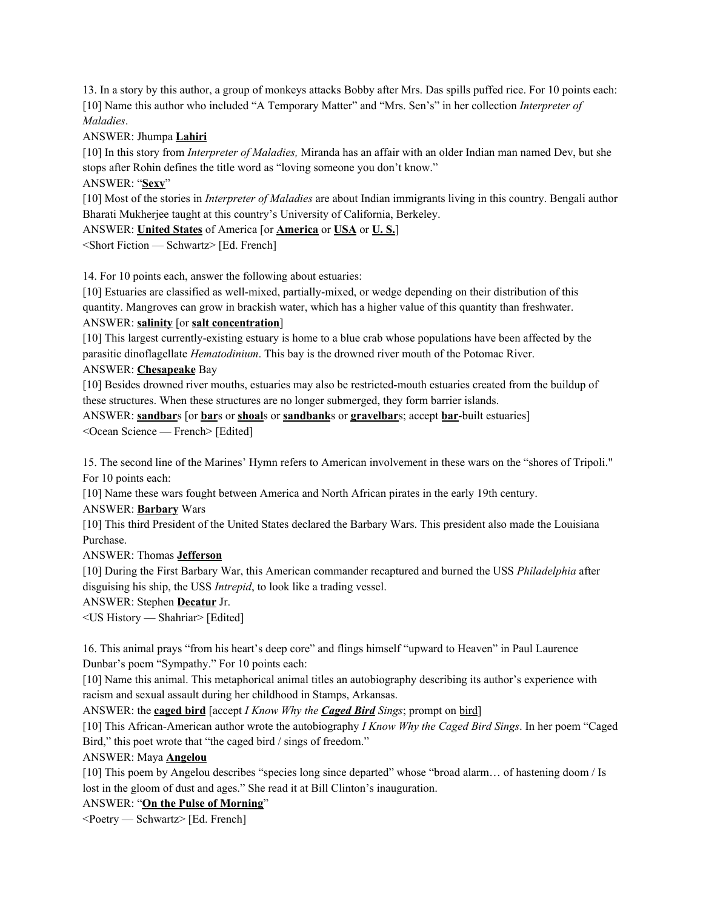13. In a story by this author, a group of monkeys attacks Bobby after Mrs. Das spills puffed rice. For 10 points each: [10] Name this author who included "A Temporary Matter" and "Mrs. Sen's" in her collection *Interpreter of Maladies*.

## ANSWER: Jhumpa **Lahiri**

[10] In this story from *Interpreter of Maladies,* Miranda has an affair with an older Indian man named Dev, but she stops after Rohin defines the title word as "loving someone you don't know."

# ANSWER: "**Sexy**"

[10] Most of the stories in *Interpreter of Maladies* are about Indian immigrants living in this country. Bengali author Bharati Mukherjee taught at this country's University of California, Berkeley.

ANSWER: **United States** of America [or **America** or **USA** or **U. S.**]

<Short Fiction — Schwartz> [Ed. French]

14. For 10 points each, answer the following about estuaries:

[10] Estuaries are classified as well-mixed, partially-mixed, or wedge depending on their distribution of this quantity. Mangroves can grow in brackish water, which has a higher value of this quantity than freshwater.

# ANSWER: **salinity** [or **salt concentration**]

[10] This largest currently-existing estuary is home to a blue crab whose populations have been affected by the parasitic dinoflagellate *Hematodinium*. This bay is the drowned river mouth of the Potomac River.

# ANSWER: **Chesapeake** Bay

[10] Besides drowned river mouths, estuaries may also be restricted-mouth estuaries created from the buildup of these structures. When these structures are no longer submerged, they form barrier islands.

ANSWER: **sandbar**s [or **bar**s or **shoal**s or **sandbank**s or **gravelbar**s; accept **bar**-built estuaries] <Ocean Science — French> [Edited]

15. The second line of the Marines' Hymn refers to American involvement in these wars on the "shores of Tripoli." For 10 points each:

[10] Name these wars fought between America and North African pirates in the early 19th century.

# ANSWER: **Barbary** Wars

[10] This third President of the United States declared the Barbary Wars. This president also made the Louisiana Purchase.

## ANSWER: Thomas **Jefferson**

[10] During the First Barbary War, this American commander recaptured and burned the USS *Philadelphia* after disguising his ship, the USS *Intrepid*, to look like a trading vessel.

# ANSWER: Stephen **Decatur** Jr.

<US History — Shahriar> [Edited]

16. This animal prays "from his heart's deep core" and flings himself "upward to Heaven" in Paul Laurence Dunbar's poem "Sympathy." For 10 points each:

[10] Name this animal. This metaphorical animal titles an autobiography describing its author's experience with racism and sexual assault during her childhood in Stamps, Arkansas.

ANSWER: the **caged bird** [accept *I Know Why the Caged Bird Sings*; prompt on bird]

[10] This African-American author wrote the autobiography *I Know Why the Caged Bird Sings*. In her poem "Caged Bird," this poet wrote that "the caged bird / sings of freedom."

ANSWER: Maya **Angelou**

[10] This poem by Angelou describes "species long since departed" whose "broad alarm… of hastening doom / Is lost in the gloom of dust and ages." She read it at Bill Clinton's inauguration.

## ANSWER: "**On the Pulse of Morning**"

<Poetry — Schwartz> [Ed. French]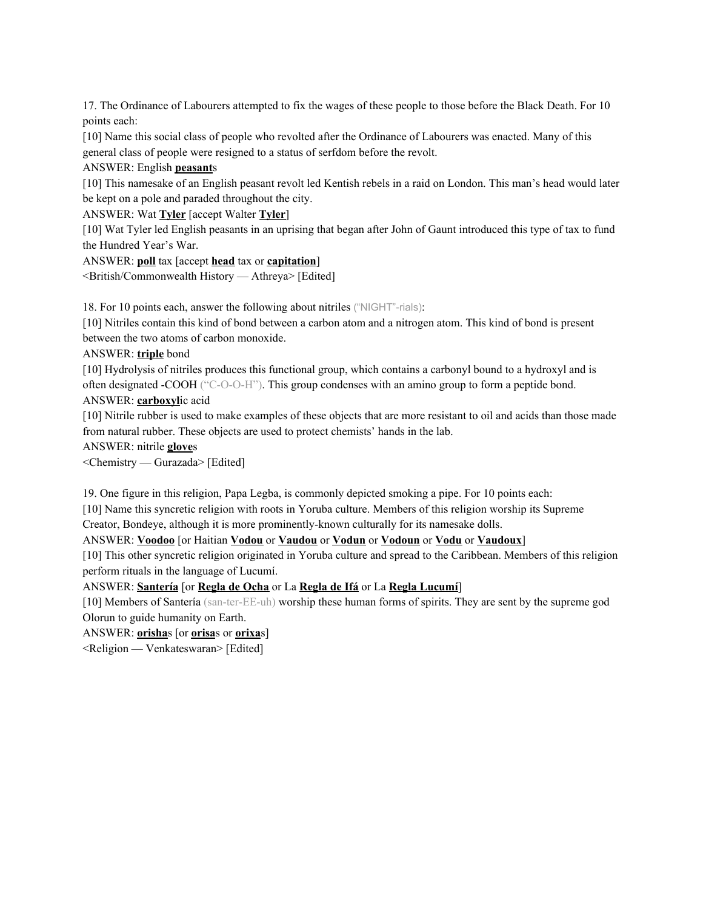17. The Ordinance of Labourers attempted to fix the wages of these people to those before the Black Death. For 10 points each:

[10] Name this social class of people who revolted after the Ordinance of Labourers was enacted. Many of this general class of people were resigned to a status of serfdom before the revolt.

ANSWER: English **peasant**s

[10] This namesake of an English peasant revolt led Kentish rebels in a raid on London. This man's head would later be kept on a pole and paraded throughout the city.

ANSWER: Wat **Tyler** [accept Walter **Tyler**]

[10] Wat Tyler led English peasants in an uprising that began after John of Gaunt introduced this type of tax to fund the Hundred Year's War.

ANSWER: **poll** tax [accept **head** tax or **capitation**]

<British/Commonwealth History — Athreya> [Edited]

18. For 10 points each, answer the following about nitriles ("NIGHT"-rials):

[10] Nitriles contain this kind of bond between a carbon atom and a nitrogen atom. This kind of bond is present between the two atoms of carbon monoxide.

ANSWER: **triple** bond

[10] Hydrolysis of nitriles produces this functional group, which contains a carbonyl bound to a hydroxyl and is often designated -COOH ("C-O-O-H"). This group condenses with an amino group to form a peptide bond. ANSWER: **carboxyl**ic acid

[10] Nitrile rubber is used to make examples of these objects that are more resistant to oil and acids than those made from natural rubber. These objects are used to protect chemists' hands in the lab.

ANSWER: nitrile **glove**s

<Chemistry — Gurazada> [Edited]

19. One figure in this religion, Papa Legba, is commonly depicted smoking a pipe. For 10 points each:

[10] Name this syncretic religion with roots in Yoruba culture. Members of this religion worship its Supreme Creator, Bondeye, although it is more prominently-known culturally for its namesake dolls.

ANSWER: **Voodoo** [or Haitian **Vodou** or **Vaudou** or **Vodun** or **Vodoun** or **Vodu** or **Vaudoux**]

[10] This other syncretic religion originated in Yoruba culture and spread to the Caribbean. Members of this religion perform rituals in the language of Lucumí.

ANSWER: **Santería** [or **Regla de Ocha** or La **Regla de Ifá** or La **Regla Lucumí**]

[10] Members of Santería (san-ter-EE-uh) worship these human forms of spirits. They are sent by the supreme god Olorun to guide humanity on Earth.

ANSWER: **orisha**s [or **orisa**s or **orixa**s]

<Religion — Venkateswaran> [Edited]